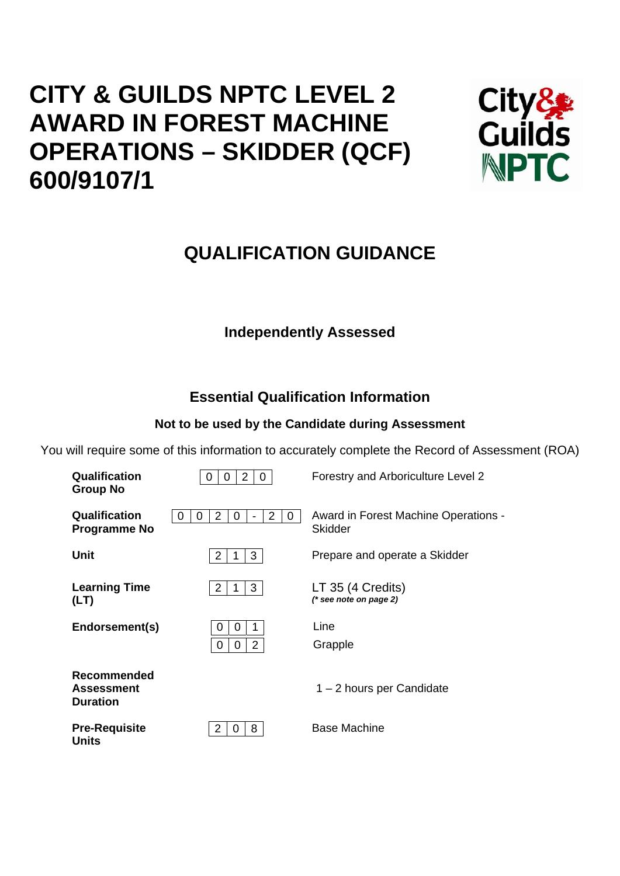# **CITY & GUILDS NPTC LEVEL 2 AWARD IN FOREST MACHINE OPERATIONS – SKIDDER (QCF) 600/9107/1**



## **QUALIFICATION GUIDANCE**

## **Independently Assessed**

## **Essential Qualification Information**

## **Not to be used by the Candidate during Assessment**

You will require some of this information to accurately complete the Record of Assessment (ROA)

| Qualification<br><b>Group No</b>                    | 2<br>0<br>O<br>0                        | Forestry and Arboriculture Level 2                     |
|-----------------------------------------------------|-----------------------------------------|--------------------------------------------------------|
| Qualification<br><b>Programme No</b>                | $\overline{2}$<br>2<br>0<br>0<br>O<br>O | Award in Forest Machine Operations -<br><b>Skidder</b> |
| <b>Unit</b>                                         | 2<br>3                                  | Prepare and operate a Skidder                          |
| <b>Learning Time</b><br>(LT)                        | 2<br>3                                  | LT 35 (4 Credits)<br>(* see note on page 2)            |
| Endorsement(s)                                      | 0<br>O<br>$\overline{2}$<br>0<br>0      | Line<br>Grapple                                        |
| Recommended<br><b>Assessment</b><br><b>Duration</b> |                                         | 1 – 2 hours per Candidate                              |
| <b>Pre-Requisite</b><br><b>Units</b>                | 8<br>2<br>0                             | Base Machine                                           |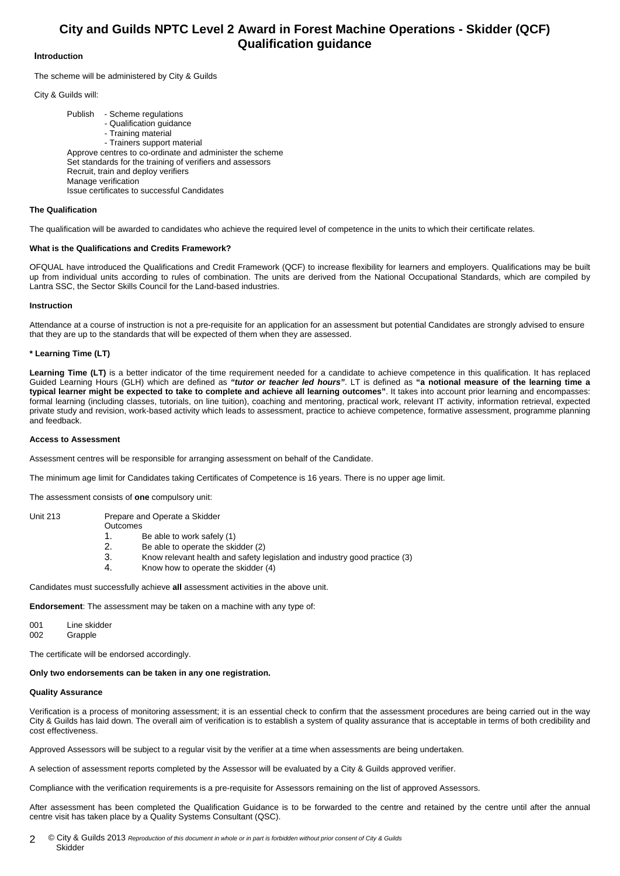### **City and Guilds NPTC Level 2 Award in Forest Machine Operations - Skidder (QCF) Qualification guidance**

#### **Introduction**

The scheme will be administered by City & Guilds

City & Guilds will:

 Publish - Scheme regulations - Qualification guidance - Training material - Trainers support material Approve centres to co-ordinate and administer the scheme Set standards for the training of verifiers and assessors Recruit, train and deploy verifiers Manage verification Issue certificates to successful Candidates

#### **The Qualification**

The qualification will be awarded to candidates who achieve the required level of competence in the units to which their certificate relates.

#### **What is the Qualifications and Credits Framework?**

OFQUAL have introduced the Qualifications and Credit Framework (QCF) to increase flexibility for learners and employers. Qualifications may be built up from individual units according to rules of combination. The units are derived from the National Occupational Standards, which are compiled by Lantra SSC, the Sector Skills Council for the Land-based industries.

#### **Instruction**

Attendance at a course of instruction is not a pre-requisite for an application for an assessment but potential Candidates are strongly advised to ensure that they are up to the standards that will be expected of them when they are assessed.

#### **\* Learning Time (LT)**

Learning Time (LT) is a better indicator of the time requirement needed for a candidate to achieve competence in this qualification. It has replaced Guided Learning Hours (GLH) which are defined as *"tutor or teacher led hours"*. LT is defined as **"a notional measure of the learning time a typical learner might be expected to take to complete and achieve all learning outcomes"**. It takes into account prior learning and encompasses: formal learning (including classes, tutorials, on line tuition), coaching and mentoring, practical work, relevant IT activity, information retrieval, expected private study and revision, work-based activity which leads to assessment, practice to achieve competence, formative assessment, programme planning and feedback.

#### **Access to Assessment**

Assessment centres will be responsible for arranging assessment on behalf of the Candidate.

The minimum age limit for Candidates taking Certificates of Competence is 16 years. There is no upper age limit.

The assessment consists of **one** compulsory unit:

Unit 213 Prepare and Operate a Skidder

- **Outcomes**
- 1. Be able to work safely (1)
- 2. Be able to operate the skidder (2)
- 3. Know relevant health and safety legislation and industry good practice (3)
- 4. Know how to operate the skidder (4)

Candidates must successfully achieve **all** assessment activities in the above unit.

**Endorsement**: The assessment may be taken on a machine with any type of:

001 Line skidder 002 Grapple

The certificate will be endorsed accordingly.

#### **Only two endorsements can be taken in any one registration.**

#### **Quality Assurance**

Verification is a process of monitoring assessment; it is an essential check to confirm that the assessment procedures are being carried out in the way City & Guilds has laid down. The overall aim of verification is to establish a system of quality assurance that is acceptable in terms of both credibility and cost effectiveness.

Approved Assessors will be subject to a regular visit by the verifier at a time when assessments are being undertaken.

A selection of assessment reports completed by the Assessor will be evaluated by a City & Guilds approved verifier.

Compliance with the verification requirements is a pre-requisite for Assessors remaining on the list of approved Assessors.

After assessment has been completed the Qualification Guidance is to be forwarded to the centre and retained by the centre until after the annual centre visit has taken place by a Quality Systems Consultant (QSC).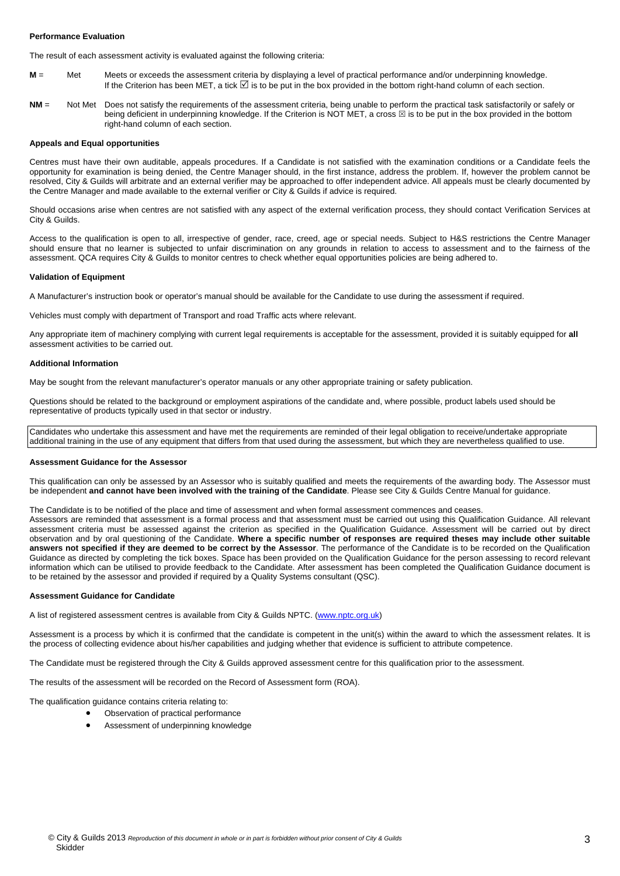#### **Performance Evaluation**

The result of each assessment activity is evaluated against the following criteria:

- **M** = Met Meets or exceeds the assessment criteria by displaying a level of practical performance and/or underpinning knowledge. If the Criterion has been MET, a tick ⊠ is to be put in the box provided in the bottom right-hand column of each section.
- **NM** = Not Met Does not satisfy the requirements of the assessment criteria, being unable to perform the practical task satisfactorily or safely or being deficient in underpinning knowledge. If the Criterion is NOT MET, a cross  $\boxtimes$  is to be put in the box provided in the bottom right-hand column of each section.

#### **Appeals and Equal opportunities**

Centres must have their own auditable, appeals procedures. If a Candidate is not satisfied with the examination conditions or a Candidate feels the opportunity for examination is being denied, the Centre Manager should, in the first instance, address the problem. If, however the problem cannot be resolved, City & Guilds will arbitrate and an external verifier may be approached to offer independent advice. All appeals must be clearly documented by the Centre Manager and made available to the external verifier or City & Guilds if advice is required.

Should occasions arise when centres are not satisfied with any aspect of the external verification process, they should contact Verification Services at City & Guilds.

Access to the qualification is open to all, irrespective of gender, race, creed, age or special needs. Subject to H&S restrictions the Centre Manager should ensure that no learner is subjected to unfair discrimination on any grounds in relation to access to assessment and to the fairness of the assessment. QCA requires City & Guilds to monitor centres to check whether equal opportunities policies are being adhered to.

#### **Validation of Equipment**

A Manufacturer's instruction book or operator's manual should be available for the Candidate to use during the assessment if required.

Vehicles must comply with department of Transport and road Traffic acts where relevant.

Any appropriate item of machinery complying with current legal requirements is acceptable for the assessment, provided it is suitably equipped for **all** assessment activities to be carried out.

#### **Additional Information**

May be sought from the relevant manufacturer's operator manuals or any other appropriate training or safety publication.

Questions should be related to the background or employment aspirations of the candidate and, where possible, product labels used should be representative of products typically used in that sector or industry.

Candidates who undertake this assessment and have met the requirements are reminded of their legal obligation to receive/undertake appropriate additional training in the use of any equipment that differs from that used during the assessment, but which they are nevertheless qualified to use.

#### **Assessment Guidance for the Assessor**

This qualification can only be assessed by an Assessor who is suitably qualified and meets the requirements of the awarding body. The Assessor must be independent **and cannot have been involved with the training of the Candidate**. Please see City & Guilds Centre Manual for guidance.

The Candidate is to be notified of the place and time of assessment and when formal assessment commences and ceases.

Assessors are reminded that assessment is a formal process and that assessment must be carried out using this Qualification Guidance. All relevant assessment criteria must be assessed against the criterion as specified in the Qualification Guidance. Assessment will be carried out by direct observation and by oral questioning of the Candidate. **Where a specific number of responses are required theses may include other suitable answers not specified if they are deemed to be correct by the Assessor**. The performance of the Candidate is to be recorded on the Qualification Guidance as directed by completing the tick boxes. Space has been provided on the Qualification Guidance for the person assessing to record relevant information which can be utilised to provide feedback to the Candidate. After assessment has been completed the Qualification Guidance document is to be retained by the assessor and provided if required by a Quality Systems consultant (QSC).

#### **Assessment Guidance for Candidate**

A list of registered assessment centres is available from City & Guilds NPTC. (www.nptc.org.uk)

Assessment is a process by which it is confirmed that the candidate is competent in the unit(s) within the award to which the assessment relates. It is the process of collecting evidence about his/her capabilities and judging whether that evidence is sufficient to attribute competence.

The Candidate must be registered through the City & Guilds approved assessment centre for this qualification prior to the assessment.

The results of the assessment will be recorded on the Record of Assessment form (ROA).

The qualification guidance contains criteria relating to:

- Observation of practical performance
- Assessment of underpinning knowledge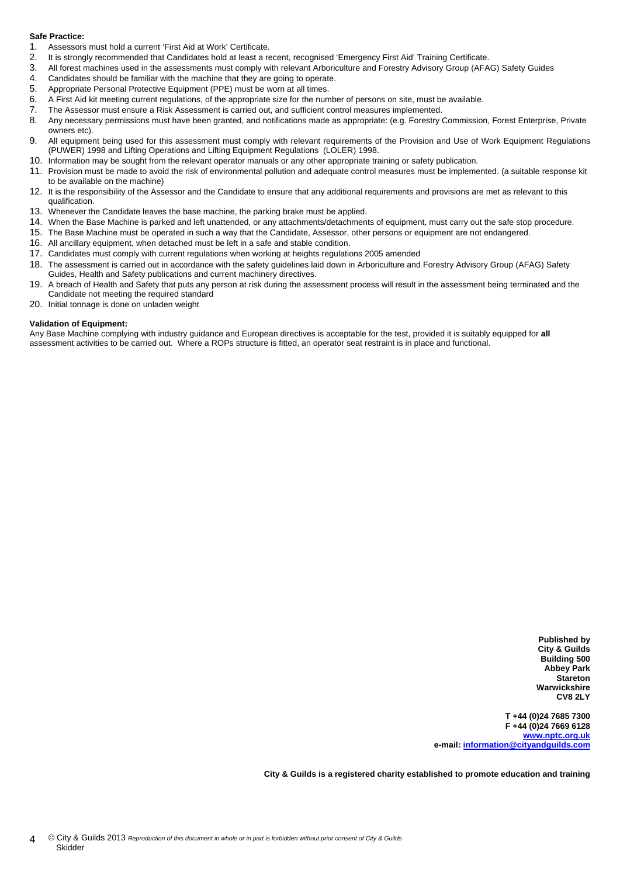#### **Safe Practice:**

- 1. Assessors must hold a current 'First Aid at Work' Certificate.
- 2. It is strongly recommended that Candidates hold at least a recent, recognised 'Emergency First Aid' Training Certificate.
- 3. All forest machines used in the assessments must comply with relevant Arboriculture and Forestry Advisory Group (AFAG) Safety Guides
- 4. Candidates should be familiar with the machine that they are going to operate.
- 5. Appropriate Personal Protective Equipment (PPE) must be worn at all times.
- 6. A First Aid kit meeting current regulations, of the appropriate size for the number of persons on site, must be available.
- 7. The Assessor must ensure a Risk Assessment is carried out, and sufficient control measures implemented.
- 8. Any necessary permissions must have been granted, and notifications made as appropriate: (e.g. Forestry Commission, Forest Enterprise, Private owners etc).
- 9. All equipment being used for this assessment must comply with relevant requirements of the Provision and Use of Work Equipment Regulations (PUWER) 1998 and Lifting Operations and Lifting Equipment Regulations (LOLER) 1998.
- 10. Information may be sought from the relevant operator manuals or any other appropriate training or safety publication.
- 11. Provision must be made to avoid the risk of environmental pollution and adequate control measures must be implemented. (a suitable response kit to be available on the machine)
- 12. It is the responsibility of the Assessor and the Candidate to ensure that any additional requirements and provisions are met as relevant to this qualification.
- 13. Whenever the Candidate leaves the base machine, the parking brake must be applied.
- 14. When the Base Machine is parked and left unattended, or any attachments/detachments of equipment, must carry out the safe stop procedure.
- 15. The Base Machine must be operated in such a way that the Candidate, Assessor, other persons or equipment are not endangered.
- 16. All ancillary equipment, when detached must be left in a safe and stable condition.
- 17. Candidates must comply with current regulations when working at heights regulations 2005 amended
- 18. The assessment is carried out in accordance with the safety guidelines laid down in Arboriculture and Forestry Advisory Group (AFAG) Safety Guides, Health and Safety publications and current machinery directives.
- 19. A breach of Health and Safety that puts any person at risk during the assessment process will result in the assessment being terminated and the Candidate not meeting the required standard
- 20. Initial tonnage is done on unladen weight

#### **Validation of Equipment:**

Any Base Machine complying with industry guidance and European directives is acceptable for the test, provided it is suitably equipped for **all** assessment activities to be carried out. Where a ROPs structure is fitted, an operator seat restraint is in place and functional.

> **Published by City & Guilds Building 500 Abbey Park Stareton Warwickshire CV8 2LY**

**T +44 (0)24 7685 7300 F +44 (0)24 7669 6128 www.nptc.org.uk e-mail: information@cityandguilds.com**

**City & Guilds is a registered charity established to promote education and training**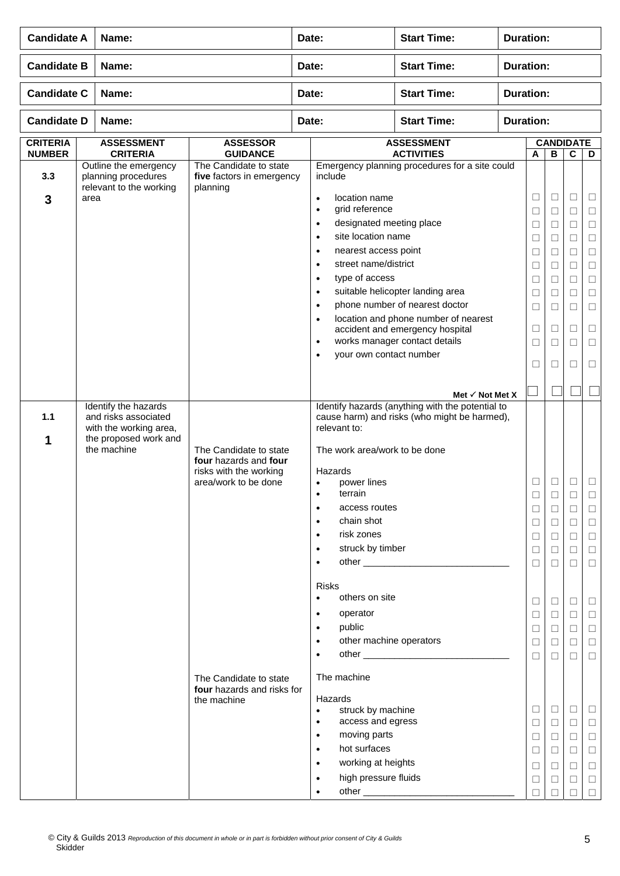| <b>Candidate A</b>               | Name:                                                                                                          |                                                                                                                                                                          |       | Date:                                                                                                                                                                                                                                                                                                                                                                                                                                                                                                                                                      | <b>Start Time:</b>                                                                                                                                                                                                                                             | <b>Duration:</b> |                                                                                                                 |                                                                                                                      |                                                                                                  |                                                                                                                           |
|----------------------------------|----------------------------------------------------------------------------------------------------------------|--------------------------------------------------------------------------------------------------------------------------------------------------------------------------|-------|------------------------------------------------------------------------------------------------------------------------------------------------------------------------------------------------------------------------------------------------------------------------------------------------------------------------------------------------------------------------------------------------------------------------------------------------------------------------------------------------------------------------------------------------------------|----------------------------------------------------------------------------------------------------------------------------------------------------------------------------------------------------------------------------------------------------------------|------------------|-----------------------------------------------------------------------------------------------------------------|----------------------------------------------------------------------------------------------------------------------|--------------------------------------------------------------------------------------------------|---------------------------------------------------------------------------------------------------------------------------|
| <b>Candidate B</b>               | Name:                                                                                                          |                                                                                                                                                                          | Date: |                                                                                                                                                                                                                                                                                                                                                                                                                                                                                                                                                            | <b>Start Time:</b>                                                                                                                                                                                                                                             | <b>Duration:</b> |                                                                                                                 |                                                                                                                      |                                                                                                  |                                                                                                                           |
| <b>Candidate C</b>               | Name:                                                                                                          |                                                                                                                                                                          | Date: |                                                                                                                                                                                                                                                                                                                                                                                                                                                                                                                                                            | <b>Start Time:</b>                                                                                                                                                                                                                                             | <b>Duration:</b> |                                                                                                                 |                                                                                                                      |                                                                                                  |                                                                                                                           |
| <b>Candidate D</b>               | Name:                                                                                                          |                                                                                                                                                                          | Date: |                                                                                                                                                                                                                                                                                                                                                                                                                                                                                                                                                            | <b>Start Time:</b>                                                                                                                                                                                                                                             | <b>Duration:</b> |                                                                                                                 |                                                                                                                      |                                                                                                  |                                                                                                                           |
| <b>CRITERIA</b><br><b>NUMBER</b> | <b>ASSESSMENT</b><br><b>CRITERIA</b>                                                                           | <b>ASSESSOR</b><br><b>GUIDANCE</b>                                                                                                                                       |       |                                                                                                                                                                                                                                                                                                                                                                                                                                                                                                                                                            | <b>ASSESSMENT</b><br><b>ACTIVITIES</b>                                                                                                                                                                                                                         |                  | A                                                                                                               | <b>CANDIDATE</b><br>$\overline{\mathbf{B}}$                                                                          | C                                                                                                | D                                                                                                                         |
| 3.3<br>3                         | Outline the emergency<br>planning procedures<br>relevant to the working<br>area                                | The Candidate to state<br>five factors in emergency<br>planning                                                                                                          |       | include<br>location name<br>$\bullet$<br>grid reference<br>$\bullet$<br>designated meeting place<br>$\bullet$<br>site location name<br>$\bullet$<br>nearest access point<br>$\bullet$<br>street name/district<br>$\bullet$<br>type of access<br>$\bullet$<br>$\bullet$<br>$\bullet$<br>$\bullet$<br>$\bullet$<br>your own contact number<br>$\bullet$                                                                                                                                                                                                      | Emergency planning procedures for a site could<br>suitable helicopter landing area<br>phone number of nearest doctor<br>location and phone number of nearest<br>accident and emergency hospital<br>works manager contact details<br>Met $\checkmark$ Not Met X |                  | □<br>$\Box$<br>$\Box$<br>$\Box$<br>$\Box$<br>$\Box$<br>$\Box$<br>$\Box$<br>$\Box$<br>⊔<br>$\Box$<br>$\Box$      | $\Box$<br>$\Box$<br>□<br>□<br>$\Box$<br>$\Box$<br>□<br>$\Box$<br>□<br>$\Box$<br>□<br>□                               | Ш<br>$\Box$<br>Ш<br>Ш<br>□<br>□<br>Ш<br>$\Box$<br>$\mathbf{L}$<br>$\Box$<br>□<br>□               | Ш<br>□<br>$\Box$<br>□<br>$\Box$<br>$\Box$<br>⊔<br>$\Box$<br>□<br>⊔<br>$\Box$<br>□                                         |
| 1.1<br>1                         | Identify the hazards<br>and risks associated<br>with the working area,<br>the proposed work and<br>the machine | The Candidate to state<br>four hazards and four<br>risks with the working<br>area/work to be done<br>The Candidate to state<br>four hazards and risks for<br>the machine |       | relevant to:<br>The work area/work to be done<br>Hazards<br>power lines<br>$\bullet$<br>terrain<br>$\bullet$<br>access routes<br>$\bullet$<br>chain shot<br>$\bullet$<br>risk zones<br>$\bullet$<br>struck by timber<br>$\bullet$<br>$\bullet$<br><b>Risks</b><br>others on site<br>$\bullet$<br>operator<br>$\bullet$<br>public<br>$\bullet$<br>other machine operators<br>$\bullet$<br>$\bullet$<br>The machine<br>Hazards<br>struck by machine<br>$\bullet$<br>access and egress<br>$\bullet$<br>moving parts<br>$\bullet$<br>hot surfaces<br>$\bullet$ | Identify hazards (anything with the potential to<br>cause harm) and risks (who might be harmed),                                                                                                                                                               |                  | □<br>$\Box$<br>□<br>Ш<br>$\Box$<br>□<br>$\Box$<br>$\Box$<br>$\Box$<br>□<br>$\Box$<br>П<br>□<br>$\Box$<br>□<br>□ | □<br>$\Box$<br>$\Box$<br>□<br>$\Box$<br>□<br>$\Box$<br>$\Box$<br>$\Box$<br>□<br>□<br>□<br>$\Box$<br>$\Box$<br>□<br>□ | $\Box$<br>□<br>⊔<br>□<br>⊔<br>$\Box$<br>$\Box$<br>$\Box$<br>⊔<br>□<br>П<br>□<br>$\Box$<br>⊔<br>⊔ | ⊔<br>⊔<br>$\Box$<br>□<br>$\Box$<br>□<br>$\Box$<br>$\Box$<br>$\Box$<br>Ш<br>$\Box$<br>П<br>⊔<br>$\Box$<br>$\Box$<br>$\Box$ |
|                                  |                                                                                                                |                                                                                                                                                                          |       | working at heights<br>$\bullet$<br>high pressure fluids<br>$\bullet$<br>$\bullet$                                                                                                                                                                                                                                                                                                                                                                                                                                                                          |                                                                                                                                                                                                                                                                |                  | □<br>$\Box$<br>□                                                                                                | □<br>□<br>□                                                                                                          | ⊔<br>□<br>⊔                                                                                      | □<br>□<br>$\Box$                                                                                                          |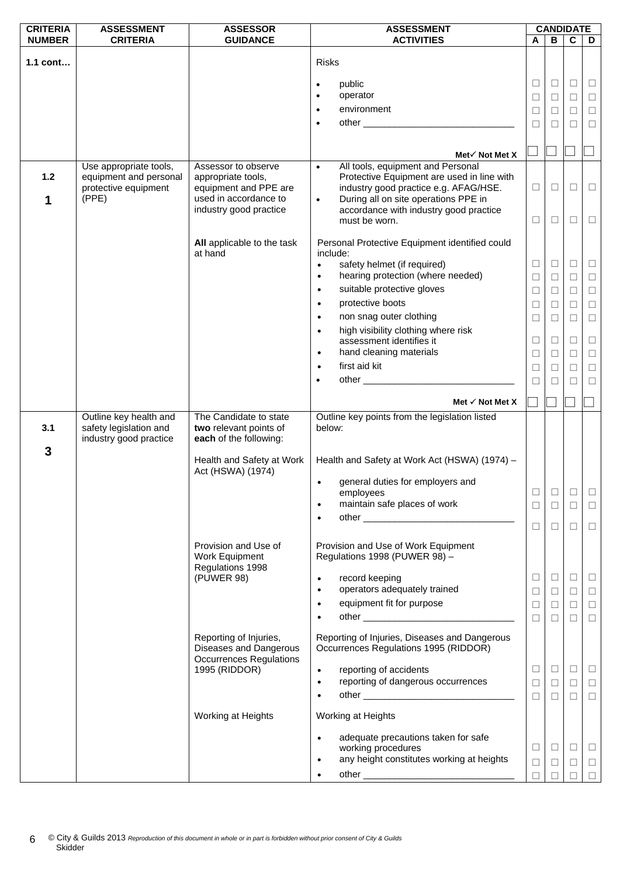| <b>CRITERIA</b> | <b>ASSESSMENT</b>                                                          | <b>ASSESSOR</b>                                                                    | <b>ASSESSMENT</b>                                                                      | <b>CANDIDATE</b> |        |        |        |
|-----------------|----------------------------------------------------------------------------|------------------------------------------------------------------------------------|----------------------------------------------------------------------------------------|------------------|--------|--------|--------|
| <b>NUMBER</b>   | <b>CRITERIA</b>                                                            | <b>GUIDANCE</b>                                                                    | <b>ACTIVITIES</b>                                                                      | A                | B      | C      | D      |
| $1.1$ cont      |                                                                            |                                                                                    | <b>Risks</b>                                                                           |                  |        |        |        |
|                 |                                                                            |                                                                                    |                                                                                        |                  |        |        |        |
|                 |                                                                            |                                                                                    | public<br>$\bullet$                                                                    | $\Box$           | $\Box$ | $\Box$ | $\Box$ |
|                 |                                                                            |                                                                                    | operator<br>$\bullet$                                                                  | □                | □      | $\Box$ | $\Box$ |
|                 |                                                                            |                                                                                    | environment<br>$\bullet$                                                               | $\Box$           | □      | $\Box$ | $\Box$ |
|                 |                                                                            |                                                                                    | $\bullet$                                                                              | $\Box$           | □      | $\Box$ | $\Box$ |
|                 |                                                                            |                                                                                    |                                                                                        |                  |        |        |        |
|                 |                                                                            |                                                                                    |                                                                                        |                  |        |        |        |
|                 | Use appropriate tools,                                                     | Assessor to observe                                                                | Met√ Not Met X<br>All tools, equipment and Personal<br>$\bullet$                       |                  |        |        |        |
| $1.2$           | equipment and personal                                                     | appropriate tools,                                                                 | Protective Equipment are used in line with                                             |                  |        |        |        |
|                 | protective equipment                                                       | equipment and PPE are                                                              | industry good practice e.g. AFAG/HSE.                                                  | $\Box$           | $\Box$ | $\Box$ | $\Box$ |
| 1               | (PPE)                                                                      | used in accordance to                                                              | During all on site operations PPE in<br>$\bullet$                                      |                  |        |        |        |
|                 |                                                                            | industry good practice                                                             | accordance with industry good practice                                                 |                  |        |        |        |
|                 |                                                                            |                                                                                    | must be worn.                                                                          | □                | □      | $\Box$ | $\Box$ |
|                 |                                                                            | All applicable to the task<br>at hand                                              | Personal Protective Equipment identified could                                         |                  |        |        |        |
|                 |                                                                            |                                                                                    | include:<br>safety helmet (if required)<br>$\bullet$                                   | $\Box$           | $\Box$ | $\Box$ | ⊔      |
|                 |                                                                            |                                                                                    | hearing protection (where needed)<br>$\bullet$                                         | $\Box$           | $\Box$ | $\Box$ | $\Box$ |
|                 |                                                                            |                                                                                    | suitable protective gloves<br>$\bullet$                                                | $\Box$           | $\Box$ | $\Box$ | $\Box$ |
|                 |                                                                            |                                                                                    | protective boots<br>$\bullet$                                                          | $\Box$           | □      | $\Box$ | $\Box$ |
|                 |                                                                            |                                                                                    | non snag outer clothing<br>$\bullet$                                                   | $\Box$           | □      | $\Box$ | $\Box$ |
|                 |                                                                            |                                                                                    | high visibility clothing where risk<br>$\bullet$                                       |                  |        |        |        |
|                 |                                                                            |                                                                                    | assessment identifies it                                                               | $\Box$           | $\Box$ | $\Box$ | $\Box$ |
|                 |                                                                            |                                                                                    | hand cleaning materials<br>$\bullet$                                                   | $\Box$           | ⊔      | $\Box$ | $\Box$ |
|                 |                                                                            |                                                                                    | first aid kit<br>$\bullet$                                                             | $\Box$           | □      | $\Box$ | $\Box$ |
|                 |                                                                            |                                                                                    | $\bullet$                                                                              | П                |        | $\Box$ | $\Box$ |
|                 |                                                                            |                                                                                    |                                                                                        |                  |        |        |        |
|                 |                                                                            |                                                                                    | Met $\checkmark$ Not Met X                                                             |                  |        |        |        |
| 3.1             | Outline key health and<br>safety legislation and<br>industry good practice | The Candidate to state<br>two relevant points of<br>each of the following:         | Outline key points from the legislation listed<br>below:                               |                  |        |        |        |
| 3               |                                                                            | Health and Safety at Work<br>Act (HSWA) (1974)                                     | Health and Safety at Work Act (HSWA) (1974) -                                          |                  |        |        |        |
|                 |                                                                            |                                                                                    | $\bullet$<br>general duties for employers and                                          |                  |        |        |        |
|                 |                                                                            |                                                                                    | employees                                                                              |                  | □      | $\Box$ | $\Box$ |
|                 |                                                                            |                                                                                    | maintain safe places of work<br>$\bullet$                                              | $\Box$           | $\Box$ | $\Box$ | $\Box$ |
|                 |                                                                            |                                                                                    | $\bullet$                                                                              | $\Box$           | $\Box$ | $\Box$ | $\Box$ |
|                 |                                                                            |                                                                                    |                                                                                        |                  |        |        |        |
|                 |                                                                            | Provision and Use of<br>Work Equipment                                             | Provision and Use of Work Equipment<br>Regulations 1998 (PUWER 98) -                   |                  |        |        |        |
|                 |                                                                            | Regulations 1998<br>(PUWER 98)                                                     | record keeping<br>$\bullet$                                                            | □                | $\Box$ | $\Box$ | ⊔      |
|                 |                                                                            |                                                                                    | operators adequately trained<br>$\bullet$                                              | □                | ⊔      | $\Box$ | ⊔      |
|                 |                                                                            |                                                                                    | equipment fit for purpose<br>$\bullet$                                                 | $\Box$           | $\Box$ | $\Box$ | $\Box$ |
|                 |                                                                            |                                                                                    | $\bullet$                                                                              | $\Box$           | $\Box$ | П      | $\Box$ |
|                 |                                                                            | Reporting of Injuries,<br>Diseases and Dangerous<br><b>Occurrences Regulations</b> | Reporting of Injuries, Diseases and Dangerous<br>Occurrences Regulations 1995 (RIDDOR) |                  |        |        |        |
|                 |                                                                            | 1995 (RIDDOR)                                                                      | reporting of accidents<br>$\bullet$                                                    | $\Box$           | $\Box$ | $\Box$ | $\Box$ |
|                 |                                                                            |                                                                                    | reporting of dangerous occurrences<br>$\bullet$                                        | $\Box$           | $\Box$ | $\Box$ | $\Box$ |
|                 |                                                                            |                                                                                    | $\bullet$                                                                              | $\Box$           | $\Box$ | $\Box$ | $\Box$ |
|                 |                                                                            | Working at Heights                                                                 | Working at Heights                                                                     |                  |        |        |        |
|                 |                                                                            |                                                                                    | adequate precautions taken for safe<br>$\bullet$                                       |                  |        |        |        |
|                 |                                                                            |                                                                                    | working procedures                                                                     | $\Box$           | $\Box$ | $\Box$ | $\Box$ |
|                 |                                                                            |                                                                                    | any height constitutes working at heights<br>$\bullet$                                 | $\Box$           | $\Box$ | $\Box$ | $\Box$ |
|                 |                                                                            |                                                                                    |                                                                                        | $\Box$           |        | П      | $\Box$ |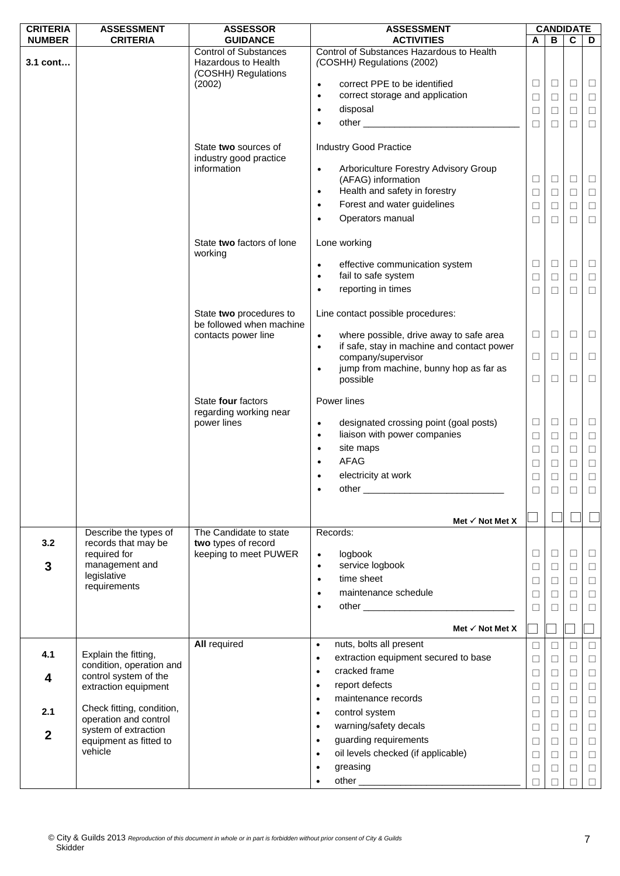| <b>CRITERIA</b> | <b>ASSESSMENT</b>                                  | <b>ASSESSOR</b>                                                            | <b>ASSESSMENT</b>                                                                                               | <b>CANDIDATE</b> |                  |                  |                  |
|-----------------|----------------------------------------------------|----------------------------------------------------------------------------|-----------------------------------------------------------------------------------------------------------------|------------------|------------------|------------------|------------------|
| <b>NUMBER</b>   | <b>CRITERIA</b>                                    | <b>GUIDANCE</b>                                                            | <b>ACTIVITIES</b>                                                                                               | Α                | B                | $\mathbf c$      | D                |
| 3.1 cont        |                                                    | <b>Control of Substances</b><br>Hazardous to Health<br>(COSHH) Regulations | Control of Substances Hazardous to Health<br>(COSHH) Regulations (2002)                                         |                  |                  |                  |                  |
|                 |                                                    | (2002)                                                                     | correct PPE to be identified<br>$\bullet$                                                                       | ⊔                | $\Box$           | $\Box$           | $\Box$           |
|                 |                                                    |                                                                            | correct storage and application<br>$\bullet$                                                                    | $\Box$           | $\Box$           | $\Box$           | $\Box$           |
|                 |                                                    |                                                                            | disposal<br>$\bullet$                                                                                           | $\Box$           | $\Box$           | □                | $\Box$           |
|                 |                                                    |                                                                            | $\bullet$                                                                                                       | □                | □                | □                | $\Box$           |
|                 |                                                    | State two sources of                                                       | <b>Industry Good Practice</b>                                                                                   |                  |                  |                  |                  |
|                 |                                                    | industry good practice<br>information                                      | Arboriculture Forestry Advisory Group<br>$\bullet$<br>(AFAG) information                                        | $\Box$           | $\Box$           | $\Box$           | $\Box$           |
|                 |                                                    |                                                                            | Health and safety in forestry<br>$\bullet$                                                                      | $\Box$           | $\Box$           | □                | $\Box$           |
|                 |                                                    |                                                                            | Forest and water guidelines<br>$\bullet$                                                                        | □                | □                | □                | $\Box$           |
|                 |                                                    |                                                                            | Operators manual<br>$\bullet$                                                                                   | □                | □                | □                | $\Box$           |
|                 |                                                    | State two factors of lone<br>working                                       | Lone working                                                                                                    |                  |                  |                  |                  |
|                 |                                                    |                                                                            | effective communication system<br>$\bullet$<br>fail to safe system<br>$\bullet$                                 | □<br>Ш           | $\Box$<br>$\Box$ | $\Box$<br>$\Box$ | $\Box$<br>$\Box$ |
|                 |                                                    |                                                                            | reporting in times                                                                                              | $\Box$           | □                | $\Box$           | $\Box$           |
|                 |                                                    | State two procedures to<br>be followed when machine                        | Line contact possible procedures:                                                                               |                  |                  |                  |                  |
|                 |                                                    | contacts power line                                                        | where possible, drive away to safe area<br>$\bullet$<br>if safe, stay in machine and contact power<br>$\bullet$ | $\Box$           | $\Box$           | ⊔                | $\Box$           |
|                 |                                                    |                                                                            | company/supervisor<br>jump from machine, bunny hop as far as<br>$\bullet$                                       | $\Box$           | $\Box$           | $\Box$           | $\Box$           |
|                 |                                                    | State four factors                                                         | possible<br>Power lines                                                                                         | $\Box$           | $\Box$           | □                | $\Box$           |
|                 |                                                    | regarding working near                                                     |                                                                                                                 |                  |                  |                  |                  |
|                 |                                                    | power lines                                                                | designated crossing point (goal posts)<br>$\bullet$<br>liaison with power companies<br>$\bullet$                | $\Box$<br>$\Box$ | $\Box$<br>$\Box$ | $\Box$<br>$\Box$ | $\Box$<br>$\Box$ |
|                 |                                                    |                                                                            | site maps<br>$\bullet$                                                                                          | Ш                | □                | □                | $\Box$           |
|                 |                                                    |                                                                            | <b>AFAG</b><br>$\bullet$                                                                                        | ⊔                | □                | □                | $\Box$           |
|                 |                                                    |                                                                            | electricity at work                                                                                             | ⊔                | □                | □                | $\Box$           |
|                 |                                                    |                                                                            | other experiences                                                                                               |                  |                  |                  |                  |
|                 |                                                    |                                                                            |                                                                                                                 |                  |                  |                  |                  |
|                 |                                                    |                                                                            | Met $\checkmark$ Not Met X                                                                                      |                  |                  |                  |                  |
| 3.2             | Describe the types of<br>records that may be       | The Candidate to state<br>two types of record                              | Records:                                                                                                        |                  |                  |                  |                  |
|                 | required for                                       | keeping to meet PUWER                                                      | logbook<br>$\bullet$                                                                                            | $\Box$           | $\Box$           | □                | □                |
| 3               | management and                                     |                                                                            | service logbook<br>$\bullet$                                                                                    | $\Box$           | $\Box$           | $\Box$           | $\Box$           |
|                 | legislative<br>requirements                        |                                                                            | time sheet<br>$\bullet$                                                                                         | ⊔                | □                | □                | $\Box$           |
|                 |                                                    |                                                                            | maintenance schedule<br>$\bullet$                                                                               | $\Box$           | $\Box$           | $\Box$           | $\Box$           |
|                 |                                                    |                                                                            | $\bullet$                                                                                                       | □                | П                | □                | $\Box$           |
|                 |                                                    |                                                                            | Met $\checkmark$ Not Met X                                                                                      |                  |                  |                  |                  |
| 4.1             | Explain the fitting,                               | <b>All required</b>                                                        | nuts, bolts all present<br>$\bullet$                                                                            | □                | □                | □                | □                |
|                 | condition, operation and                           |                                                                            | extraction equipment secured to base<br>$\bullet$                                                               | $\Box$           | $\Box$           | □                | $\Box$           |
| 4               | control system of the                              |                                                                            | cracked frame<br>$\bullet$                                                                                      | $\Box$           | □                | □                | $\Box$           |
|                 | extraction equipment                               |                                                                            | report defects<br>$\bullet$                                                                                     | ⊔                | ⊔                | $\Box$           | $\Box$           |
|                 |                                                    |                                                                            | maintenance records<br>$\bullet$                                                                                | $\Box$           | $\Box$           | $\Box$           | $\Box$           |
| 2.1             | Check fitting, condition,<br>operation and control |                                                                            | control system<br>$\bullet$                                                                                     | □                | □                | □                | $\Box$           |
| $\overline{2}$  | system of extraction                               |                                                                            | warning/safety decals<br>$\bullet$                                                                              | $\Box$           | □                | $\Box$           | $\Box$           |
|                 | equipment as fitted to                             |                                                                            | guarding requirements<br>$\bullet$                                                                              | $\Box$           | □                | □                | $\Box$           |
|                 | vehicle                                            |                                                                            | oil levels checked (if applicable)<br>$\bullet$                                                                 | □                | ⊔                | $\Box$           | $\Box$           |
|                 |                                                    |                                                                            | greasing                                                                                                        | $\Box$           | $\Box$           | □                | $\Box$           |
|                 |                                                    |                                                                            |                                                                                                                 | П                | □                | □                | $\Box$           |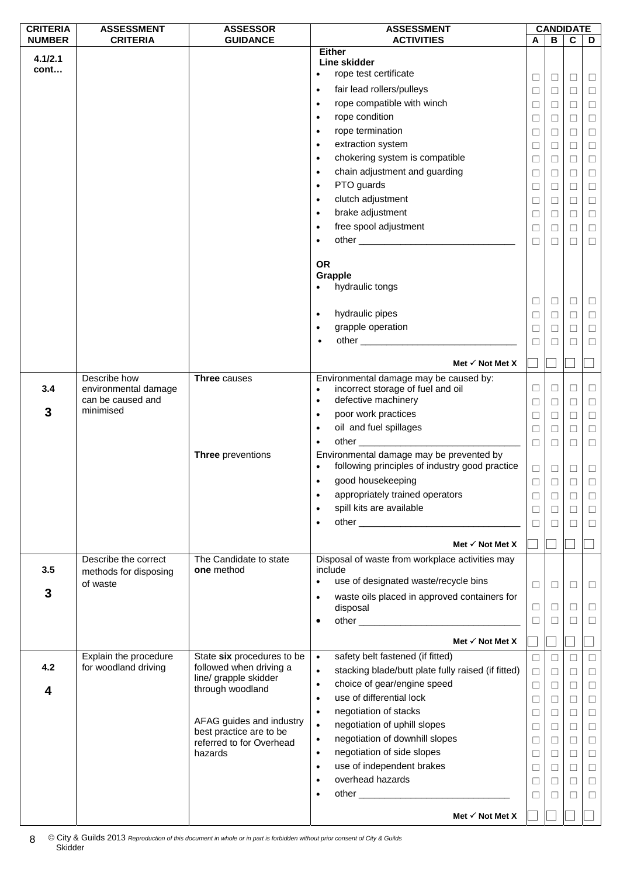| <b>CRITERIA</b> | <b>ASSESSMENT</b>                         | <b>ASSESSOR</b>                                     | <b>ASSESSMENT</b>                                                                          |        |        | <b>CANDIDATE</b> |        |
|-----------------|-------------------------------------------|-----------------------------------------------------|--------------------------------------------------------------------------------------------|--------|--------|------------------|--------|
| <b>NUMBER</b>   | <b>CRITERIA</b>                           | <b>GUIDANCE</b>                                     | <b>ACTIVITIES</b>                                                                          | A      | В      | $\mathbf c$      | D      |
| 4.1/2.1         |                                           |                                                     | <b>Either</b><br>Line skidder                                                              |        |        |                  |        |
| cont            |                                           |                                                     | rope test certificate                                                                      |        |        |                  |        |
|                 |                                           |                                                     | fair lead rollers/pulleys<br>$\bullet$                                                     | $\Box$ | ⊔      | □                | $\Box$ |
|                 |                                           |                                                     |                                                                                            | $\Box$ | $\Box$ | $\Box$           | $\Box$ |
|                 |                                           |                                                     | rope compatible with winch<br>$\bullet$                                                    | $\Box$ | $\Box$ | $\Box$           | $\Box$ |
|                 |                                           |                                                     | rope condition<br>$\bullet$                                                                | $\Box$ | $\Box$ | □                | $\Box$ |
|                 |                                           |                                                     | rope termination<br>$\bullet$                                                              | $\Box$ | □      | □                | $\Box$ |
|                 |                                           |                                                     | extraction system<br>$\bullet$                                                             | $\Box$ | ⊔      | □                | $\Box$ |
|                 |                                           |                                                     | chokering system is compatible<br>$\bullet$                                                | □      | $\Box$ | $\Box$           | $\Box$ |
|                 |                                           |                                                     | chain adjustment and guarding<br>$\bullet$                                                 | $\Box$ | □      | $\Box$           | $\Box$ |
|                 |                                           |                                                     | PTO guards<br>$\bullet$                                                                    | □      | ⊔      | $\Box$           | $\Box$ |
|                 |                                           |                                                     | clutch adjustment<br>$\bullet$                                                             | $\Box$ | $\Box$ | $\Box$           | $\Box$ |
|                 |                                           |                                                     | brake adjustment<br>$\bullet$                                                              | □      | ⊔      | □                | $\Box$ |
|                 |                                           |                                                     | free spool adjustment<br>$\bullet$                                                         | $\Box$ | $\Box$ | $\Box$           | $\Box$ |
|                 |                                           |                                                     | $\bullet$                                                                                  | □      | □      | $\Box$           | $\Box$ |
|                 |                                           |                                                     |                                                                                            |        |        |                  |        |
|                 |                                           |                                                     | <b>OR</b>                                                                                  |        |        |                  |        |
|                 |                                           |                                                     | Grapple                                                                                    |        |        |                  |        |
|                 |                                           |                                                     | hydraulic tongs                                                                            |        |        |                  |        |
|                 |                                           |                                                     |                                                                                            | $\Box$ | ⊔      | $\Box$           | $\Box$ |
|                 |                                           |                                                     | hydraulic pipes<br>$\bullet$                                                               | □      | ⊔      | $\Box$           | $\Box$ |
|                 |                                           |                                                     | grapple operation<br>$\bullet$                                                             | $\Box$ | □      | $\Box$           | $\Box$ |
|                 |                                           |                                                     | $\bullet$                                                                                  | □      | П      | П                | $\Box$ |
|                 |                                           |                                                     |                                                                                            |        |        |                  |        |
|                 |                                           |                                                     | Met $\checkmark$ Not Met X                                                                 |        |        |                  |        |
|                 | Describe how                              | <b>Three</b> causes                                 | Environmental damage may be caused by:                                                     |        |        |                  |        |
| 3.4             | environmental damage<br>can be caused and |                                                     | incorrect storage of fuel and oil<br>$\bullet$                                             | □      | ⊔      | □                | $\Box$ |
| 3               | minimised                                 |                                                     | defective machinery<br>$\bullet$                                                           | $\Box$ | □      | $\Box$           | $\Box$ |
|                 |                                           |                                                     | poor work practices<br>$\bullet$                                                           | $\Box$ | $\Box$ | $\Box$           | $\Box$ |
|                 |                                           |                                                     | oil and fuel spillages<br>$\bullet$                                                        | $\Box$ | $\Box$ | $\Box$           | $\Box$ |
|                 |                                           |                                                     | $\bullet$                                                                                  | $\Box$ | □      | $\Box$           | □      |
|                 |                                           | Three preventions                                   | Environmental damage may be prevented by<br>following principles of industry good practice |        |        |                  |        |
|                 |                                           |                                                     | $\bullet$                                                                                  | $\Box$ | $\Box$ | $\Box$           | $\Box$ |
|                 |                                           |                                                     | good housekeeping<br>$\bullet$                                                             | $\Box$ | □      | $\Box$           | $\Box$ |
|                 |                                           |                                                     | appropriately trained operators<br>$\bullet$                                               | $\Box$ | ⊔      | □                | ⊔      |
|                 |                                           |                                                     | spill kits are available<br>$\bullet$                                                      | □      | $\Box$ | $\Box$           | $\Box$ |
|                 |                                           |                                                     | $\bullet$                                                                                  | □      | ⊔      | П                | $\Box$ |
|                 |                                           |                                                     | Met $\checkmark$ Not Met X                                                                 |        |        |                  |        |
|                 |                                           |                                                     |                                                                                            |        |        |                  |        |
| 3.5             | Describe the correct                      | The Candidate to state<br>one method                | Disposal of waste from workplace activities may<br>include                                 |        |        |                  |        |
|                 | methods for disposing<br>of waste         |                                                     | use of designated waste/recycle bins<br>$\bullet$                                          |        |        |                  |        |
| 3               |                                           |                                                     | waste oils placed in approved containers for<br>$\bullet$                                  | $\Box$ | □      | $\Box$           | $\Box$ |
|                 |                                           |                                                     | disposal                                                                                   | $\Box$ | □      | □                | $\Box$ |
|                 |                                           |                                                     | $\bullet$                                                                                  | $\Box$ | ⊔      | П                | □      |
|                 |                                           |                                                     |                                                                                            |        |        |                  |        |
|                 |                                           |                                                     | Met $\checkmark$ Not Met X                                                                 |        |        |                  |        |
|                 | Explain the procedure                     | State six procedures to be                          | safety belt fastened (if fitted)<br>$\bullet$                                              | $\Box$ | □      | □                | $\Box$ |
| 4.2             | for woodland driving                      | followed when driving a                             | stacking blade/butt plate fully raised (if fitted)<br>$\bullet$                            | $\Box$ | $\Box$ | $\Box$           | $\Box$ |
| 4               |                                           | line/ grapple skidder<br>through woodland           | choice of gear/engine speed<br>$\bullet$                                                   | $\Box$ | □      | □                | $\Box$ |
|                 |                                           |                                                     | use of differential lock<br>$\bullet$                                                      | $\Box$ | □      | $\Box$           | $\Box$ |
|                 |                                           |                                                     | negotiation of stacks<br>$\bullet$                                                         | $\Box$ | □      | $\Box$           | $\Box$ |
|                 |                                           | AFAG guides and industry                            | negotiation of uphill slopes<br>$\bullet$                                                  | □      | ⊔      | $\Box$           | $\Box$ |
|                 |                                           | best practice are to be<br>referred to for Overhead | negotiation of downhill slopes<br>$\bullet$                                                | $\Box$ | $\Box$ | $\Box$           | $\Box$ |
|                 |                                           | hazards                                             | negotiation of side slopes<br>$\bullet$                                                    | □      | □      | $\Box$           | $\Box$ |
|                 |                                           |                                                     | use of independent brakes<br>$\bullet$                                                     | $\Box$ | $\Box$ | $\Box$           | $\Box$ |
|                 |                                           |                                                     | overhead hazards<br>$\bullet$                                                              | $\Box$ | □      | $\Box$           | $\Box$ |
|                 |                                           |                                                     | $\bullet$                                                                                  | □      | ⊔      | □                | $\Box$ |
|                 |                                           |                                                     |                                                                                            |        |        |                  |        |
|                 |                                           |                                                     | Met $\checkmark$ Not Met X                                                                 |        |        |                  |        |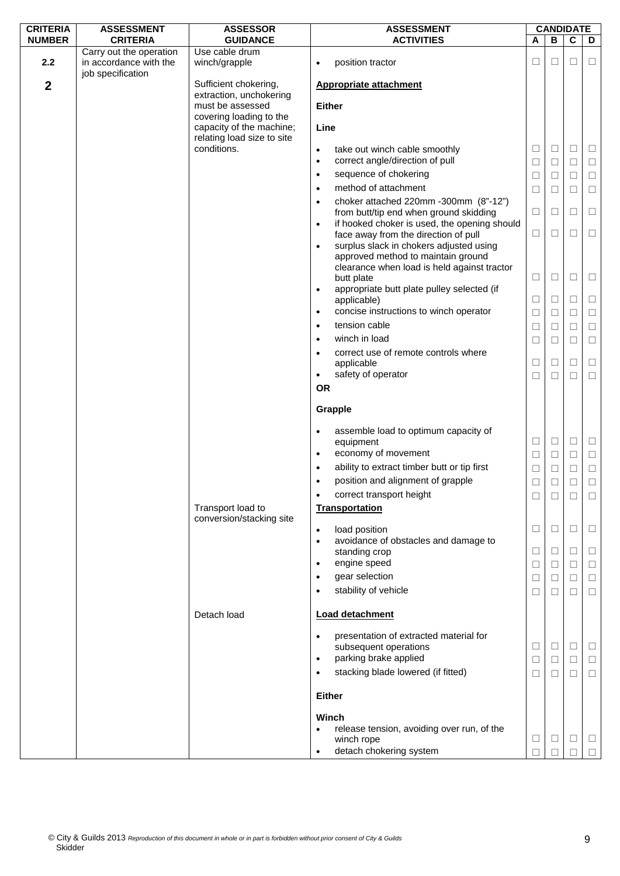| <b>CRITERIA</b>  | <b>ASSESSMENT</b>                                                      | <b>ASSESSOR</b>                                                                   | <b>ASSESSMENT</b>                                                                                 | <b>CANDIDATE</b> |                  |                  |                  |
|------------------|------------------------------------------------------------------------|-----------------------------------------------------------------------------------|---------------------------------------------------------------------------------------------------|------------------|------------------|------------------|------------------|
| <b>NUMBER</b>    | <b>CRITERIA</b>                                                        | <b>GUIDANCE</b>                                                                   | <b>ACTIVITIES</b>                                                                                 | A                | B                | $\mathbf C$      | D                |
| 2.2              | Carry out the operation<br>in accordance with the<br>job specification | Use cable drum<br>winch/grapple                                                   | position tractor<br>$\bullet$                                                                     | □                | □                | □                | □                |
| $\boldsymbol{2}$ |                                                                        | Sufficient chokering,<br>extraction, unchokering                                  | <b>Appropriate attachment</b>                                                                     |                  |                  |                  |                  |
|                  |                                                                        | must be assessed                                                                  | <b>Either</b>                                                                                     |                  |                  |                  |                  |
|                  |                                                                        | covering loading to the<br>capacity of the machine;<br>relating load size to site | Line                                                                                              |                  |                  |                  |                  |
|                  |                                                                        | conditions.                                                                       | take out winch cable smoothly<br>$\bullet$<br>correct angle/direction of pull<br>$\bullet$        | $\Box$           | $\Box$           | $\Box$           | $\Box$           |
|                  |                                                                        |                                                                                   | sequence of chokering<br>$\bullet$                                                                | $\Box$<br>$\Box$ | $\Box$<br>$\Box$ | $\Box$<br>$\Box$ | $\Box$<br>$\Box$ |
|                  |                                                                        |                                                                                   | method of attachment<br>$\bullet$                                                                 | $\Box$           | $\Box$           | $\Box$           | $\Box$           |
|                  |                                                                        |                                                                                   | choker attached 220mm -300mm (8"-12")<br>$\bullet$                                                |                  |                  |                  |                  |
|                  |                                                                        |                                                                                   | from butt/tip end when ground skidding                                                            | $\Box$           | $\Box$           | □                | $\Box$           |
|                  |                                                                        |                                                                                   | if hooked choker is used, the opening should<br>$\bullet$<br>face away from the direction of pull | $\Box$           | □                | □                | $\Box$           |
|                  |                                                                        |                                                                                   | surplus slack in chokers adjusted using                                                           |                  |                  |                  |                  |
|                  |                                                                        |                                                                                   | approved method to maintain ground                                                                |                  |                  |                  |                  |
|                  |                                                                        |                                                                                   | clearance when load is held against tractor<br>butt plate                                         | □                | $\Box$           | □                | □                |
|                  |                                                                        |                                                                                   | appropriate butt plate pulley selected (if<br>٠                                                   |                  |                  |                  |                  |
|                  |                                                                        |                                                                                   | applicable)                                                                                       | $\Box$           | □                | □                | $\Box$           |
|                  |                                                                        |                                                                                   | concise instructions to winch operator<br>$\bullet$<br>tension cable                              | $\Box$           | $\Box$           | $\Box$           | $\Box$           |
|                  |                                                                        |                                                                                   | $\bullet$<br>winch in load                                                                        | $\Box$           | $\Box$           | $\Box$           | $\Box$<br>$\Box$ |
|                  |                                                                        |                                                                                   | correct use of remote controls where                                                              | $\Box$           | $\Box$           | □                |                  |
|                  |                                                                        |                                                                                   | applicable                                                                                        | □                | $\Box$           | $\Box$           | $\Box$           |
|                  |                                                                        |                                                                                   | safety of operator<br>$\bullet$                                                                   | $\Box$           | $\Box$           | $\Box$           | $\Box$           |
|                  |                                                                        |                                                                                   | <b>OR</b>                                                                                         |                  |                  |                  |                  |
|                  |                                                                        |                                                                                   | Grapple                                                                                           |                  |                  |                  |                  |
|                  |                                                                        |                                                                                   | assemble load to optimum capacity of<br>$\bullet$<br>equipment                                    | $\Box$           | $\Box$           | $\Box$           | $\Box$           |
|                  |                                                                        |                                                                                   | economy of movement<br>$\bullet$                                                                  | $\Box$           | $\Box$           | $\Box$           | $\Box$           |
|                  |                                                                        |                                                                                   | ability to extract timber butt or tip first<br>$\bullet$                                          | $\Box$           | $\Box$           | $\Box$           | $\Box$           |
|                  |                                                                        |                                                                                   | position and alignment of grapple<br>$\bullet$<br>correct transport height                        | $\Box$           | $\Box$           | $\Box$           | $\Box$           |
|                  |                                                                        | Transport load to                                                                 | <b>Transportation</b>                                                                             | ⊔                | □                | □                | □                |
|                  |                                                                        | conversion/stacking site                                                          |                                                                                                   |                  |                  |                  |                  |
|                  |                                                                        |                                                                                   | load position<br>$\bullet$<br>avoidance of obstacles and damage to<br>$\bullet$                   | $\Box$           | $\Box$           | $\Box$           | □                |
|                  |                                                                        |                                                                                   | standing crop                                                                                     | $\Box$           | $\Box$           | $\Box$           | $\Box$           |
|                  |                                                                        |                                                                                   | engine speed<br>٠                                                                                 | □                | $\Box$           | $\Box$           | $\Box$           |
|                  |                                                                        |                                                                                   | gear selection                                                                                    | $\Box$           | $\Box$           | $\Box$           | $\Box$           |
|                  |                                                                        |                                                                                   | stability of vehicle                                                                              | $\Box$           | □                | □                | $\Box$           |
|                  |                                                                        | Detach load                                                                       | <b>Load detachment</b>                                                                            |                  |                  |                  |                  |
|                  |                                                                        |                                                                                   | presentation of extracted material for<br>$\bullet$                                               |                  |                  |                  |                  |
|                  |                                                                        |                                                                                   | subsequent operations                                                                             | Ш                | $\Box$           | $\Box$           | ⊔                |
|                  |                                                                        |                                                                                   | parking brake applied<br>$\bullet$                                                                | $\Box$           | $\Box$           | $\Box$           | $\Box$           |
|                  |                                                                        |                                                                                   | stacking blade lowered (if fitted)                                                                | □                | □                | □                | □                |
|                  |                                                                        |                                                                                   | <b>Either</b>                                                                                     |                  |                  |                  |                  |
|                  |                                                                        |                                                                                   | Winch                                                                                             |                  |                  |                  |                  |
|                  |                                                                        |                                                                                   | release tension, avoiding over run, of the<br>winch rope                                          | □                | $\Box$           | $\Box$           | $\Box$           |
|                  |                                                                        |                                                                                   | detach chokering system<br>$\bullet$                                                              | П                | П                |                  |                  |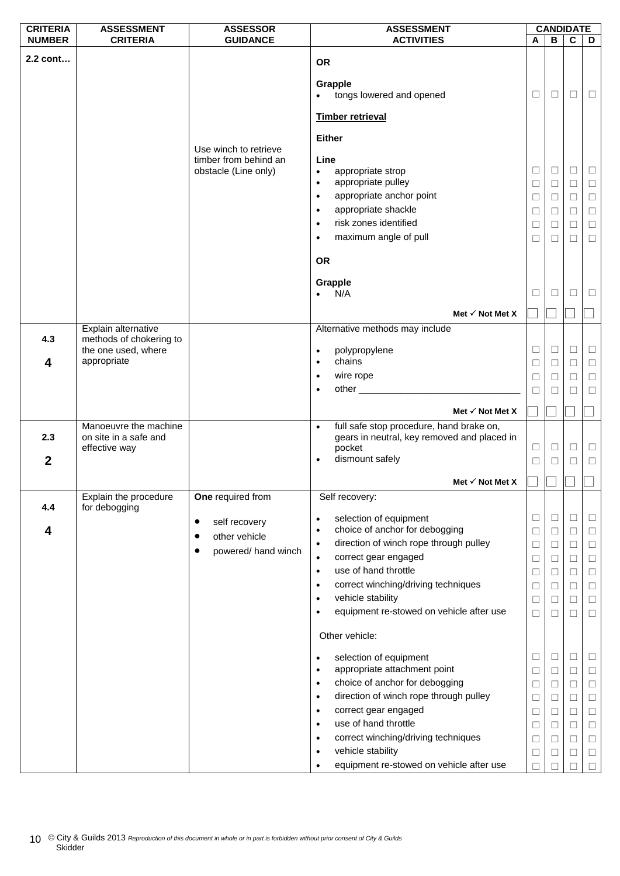| <b>CRITERIA</b>  | <b>ASSESSMENT</b>                              | <b>ASSESSOR</b>            | <b>ASSESSMENT</b>                                                                                                                                                                                                                          |        |              | <b>CANDIDATE</b> |        |
|------------------|------------------------------------------------|----------------------------|--------------------------------------------------------------------------------------------------------------------------------------------------------------------------------------------------------------------------------------------|--------|--------------|------------------|--------|
| <b>NUMBER</b>    | <b>CRITERIA</b>                                | <b>GUIDANCE</b>            | <b>ACTIVITIES</b>                                                                                                                                                                                                                          | Α      | $\, {\bf B}$ | $\overline{c}$   | D      |
| 2.2 cont         |                                                |                            | <b>OR</b>                                                                                                                                                                                                                                  |        |              |                  |        |
|                  |                                                |                            | <b>Grapple</b><br>tongs lowered and opened                                                                                                                                                                                                 | $\Box$ | $\Box$       | □                | $\Box$ |
|                  |                                                |                            | Timber retrieval                                                                                                                                                                                                                           |        |              |                  |        |
|                  |                                                | Use winch to retrieve      | <b>Either</b>                                                                                                                                                                                                                              |        |              |                  |        |
|                  |                                                | timber from behind an      | Line                                                                                                                                                                                                                                       |        |              |                  |        |
|                  |                                                | obstacle (Line only)       | $\bullet$<br>appropriate strop<br>appropriate pulley                                                                                                                                                                                       | $\Box$ | $\Box$       | $\Box$           | $\Box$ |
|                  |                                                |                            | $\bullet$<br>appropriate anchor point                                                                                                                                                                                                      | $\Box$ | □            | $\Box$           | $\Box$ |
|                  |                                                |                            | $\bullet$<br>appropriate shackle                                                                                                                                                                                                           | $\Box$ | $\Box$       | $\Box$           | $\Box$ |
|                  |                                                |                            | $\bullet$<br>risk zones identified                                                                                                                                                                                                         | $\Box$ | $\Box$       | $\Box$           | $\Box$ |
|                  |                                                |                            | $\bullet$<br>maximum angle of pull                                                                                                                                                                                                         | □      | □            | $\Box$           | $\Box$ |
|                  |                                                |                            | $\bullet$                                                                                                                                                                                                                                  | $\Box$ | $\Box$       | $\Box$           | $\Box$ |
|                  |                                                |                            | <b>OR</b>                                                                                                                                                                                                                                  |        |              |                  |        |
|                  |                                                |                            | Grapple<br>N/A                                                                                                                                                                                                                             | ⊔      | ⊔            | Ш                | ⊔      |
|                  |                                                |                            | Met $\checkmark$ Not Met X                                                                                                                                                                                                                 |        |              |                  |        |
|                  | Explain alternative                            |                            | Alternative methods may include                                                                                                                                                                                                            |        |              |                  |        |
| 4.3              | methods of chokering to<br>the one used, where |                            | polypropylene<br>$\bullet$                                                                                                                                                                                                                 | ⊔      | □            | □                | $\Box$ |
| 4                | appropriate                                    |                            | chains<br>$\bullet$                                                                                                                                                                                                                        | $\Box$ | $\Box$       | $\Box$           | $\Box$ |
|                  |                                                |                            | wire rope<br>$\bullet$                                                                                                                                                                                                                     | $\Box$ | П            | □                | $\Box$ |
|                  |                                                |                            | other and the contract of the contract of the contract of the contract of the contract of the contract of the contract of the contract of the contract of the contract of the contract of the contract of the contract of the<br>$\bullet$ | $\Box$ | □            | $\Box$           | $\Box$ |
|                  |                                                |                            |                                                                                                                                                                                                                                            |        |              |                  |        |
|                  | Manoeuvre the machine                          |                            | Met $\checkmark$ Not Met X<br>full safe stop procedure, hand brake on,<br>$\bullet$                                                                                                                                                        |        |              |                  |        |
| 2.3              | on site in a safe and                          |                            | gears in neutral, key removed and placed in                                                                                                                                                                                                |        |              |                  |        |
|                  | effective way                                  |                            | pocket                                                                                                                                                                                                                                     | $\Box$ | $\Box$       | $\Box$           | $\Box$ |
| $\boldsymbol{2}$ |                                                |                            | dismount safely<br>$\bullet$                                                                                                                                                                                                               | $\Box$ | $\Box$       | □                | $\Box$ |
|                  |                                                |                            | Met $\checkmark$ Not Met X                                                                                                                                                                                                                 |        |              |                  |        |
| 4.4              | Explain the procedure<br>for debogging         | One required from          | Self recovery:                                                                                                                                                                                                                             |        |              |                  |        |
|                  |                                                | self recovery<br>$\bullet$ | selection of equipment<br>$\bullet$                                                                                                                                                                                                        | ⊔      | □            | □                | □      |
| 4                |                                                | other vehicle              | choice of anchor for debogging<br>٠                                                                                                                                                                                                        | $\Box$ | $\Box$       | □                | $\Box$ |
|                  |                                                | powered/ hand winch        | direction of winch rope through pulley<br>$\bullet$                                                                                                                                                                                        | $\Box$ | $\Box$       | □                | $\Box$ |
|                  |                                                |                            | correct gear engaged<br>$\bullet$                                                                                                                                                                                                          | □      | □            | $\Box$           | $\Box$ |
|                  |                                                |                            | use of hand throttle<br>$\bullet$                                                                                                                                                                                                          | $\Box$ | $\Box$       | $\Box$           | $\Box$ |
|                  |                                                |                            | correct winching/driving techniques<br>$\bullet$                                                                                                                                                                                           | □      | □            | □                | $\Box$ |
|                  |                                                |                            | vehicle stability<br>٠                                                                                                                                                                                                                     | $\Box$ | □            | $\Box$           | $\Box$ |
|                  |                                                |                            | equipment re-stowed on vehicle after use<br>٠                                                                                                                                                                                              | $\Box$ | □            | □                | $\Box$ |
|                  |                                                |                            | Other vehicle:                                                                                                                                                                                                                             |        |              |                  |        |
|                  |                                                |                            | selection of equipment<br>$\bullet$                                                                                                                                                                                                        | $\Box$ | □            | □                | □      |
|                  |                                                |                            | appropriate attachment point<br>$\bullet$                                                                                                                                                                                                  | □      | □            | □                | □      |
|                  |                                                |                            | choice of anchor for debogging<br>$\bullet$                                                                                                                                                                                                | $\Box$ | $\Box$       | □                | $\Box$ |
|                  |                                                |                            | direction of winch rope through pulley<br>$\bullet$                                                                                                                                                                                        | $\Box$ | $\Box$       | $\Box$           | $\Box$ |
|                  |                                                |                            | correct gear engaged<br>$\bullet$                                                                                                                                                                                                          | Ш      | □            | □                | $\Box$ |
|                  |                                                |                            | use of hand throttle<br>$\bullet$                                                                                                                                                                                                          | $\Box$ | $\Box$       | $\Box$           | $\Box$ |
|                  |                                                |                            | correct winching/driving techniques<br>$\bullet$                                                                                                                                                                                           | □      | $\perp$      | □                | □      |
|                  |                                                |                            | vehicle stability<br>٠                                                                                                                                                                                                                     | $\Box$ | $\Box$       | □                | $\Box$ |
|                  |                                                |                            | equipment re-stowed on vehicle after use<br>$\bullet$                                                                                                                                                                                      | П      |              |                  | П      |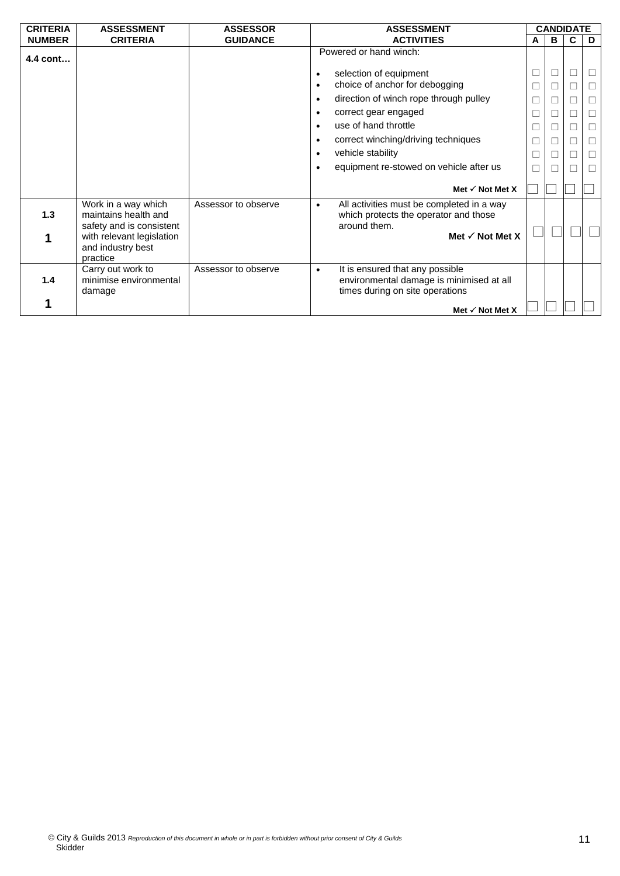| <b>CRITERIA</b> | <b>ASSESSMENT</b>                                | <b>ASSESSOR</b>     | <b>ASSESSMENT</b>                                                                        |        | <b>CANDIDATE</b> |        |   |
|-----------------|--------------------------------------------------|---------------------|------------------------------------------------------------------------------------------|--------|------------------|--------|---|
| <b>NUMBER</b>   | <b>CRITERIA</b>                                  | <b>GUIDANCE</b>     | <b>ACTIVITIES</b>                                                                        | A      | в                | C      | D |
| 4.4 cont        |                                                  |                     | Powered or hand winch:                                                                   |        |                  |        |   |
|                 |                                                  |                     | selection of equipment<br>$\bullet$                                                      | $\Box$ | Ш                | $\Box$ | □ |
|                 |                                                  |                     | choice of anchor for debogging<br>$\bullet$                                              | $\Box$ |                  | П      | П |
|                 |                                                  |                     | direction of winch rope through pulley<br>$\bullet$                                      | $\Box$ |                  | П      | □ |
|                 |                                                  |                     | correct gear engaged<br>$\bullet$                                                        | Ш      |                  |        | □ |
|                 |                                                  |                     | use of hand throttle<br>$\bullet$                                                        | $\Box$ |                  | Г      | □ |
|                 |                                                  |                     | correct winching/driving techniques<br>$\bullet$                                         | $\Box$ |                  |        | П |
|                 |                                                  |                     | vehicle stability<br>$\bullet$                                                           | $\Box$ |                  |        |   |
|                 |                                                  |                     | equipment re-stowed on vehicle after us<br>$\bullet$                                     | Ш      |                  |        | П |
|                 |                                                  |                     | Met $\checkmark$ Not Met X                                                               |        |                  |        |   |
|                 | Work in a way which                              | Assessor to observe | All activities must be completed in a way<br>$\bullet$                                   |        |                  |        |   |
| 1.3             | maintains health and<br>safety and is consistent |                     | which protects the operator and those<br>around them.                                    |        |                  |        |   |
|                 | with relevant legislation                        |                     | Met $\checkmark$ Not Met X                                                               |        |                  |        |   |
|                 | and industry best                                |                     |                                                                                          |        |                  |        |   |
|                 | practice                                         |                     |                                                                                          |        |                  |        |   |
| 1.4             | Carry out work to<br>minimise environmental      | Assessor to observe | It is ensured that any possible<br>$\bullet$<br>environmental damage is minimised at all |        |                  |        |   |
|                 | damage                                           |                     | times during on site operations                                                          |        |                  |        |   |
|                 |                                                  |                     | Met $\checkmark$ Not Met X                                                               |        |                  |        |   |